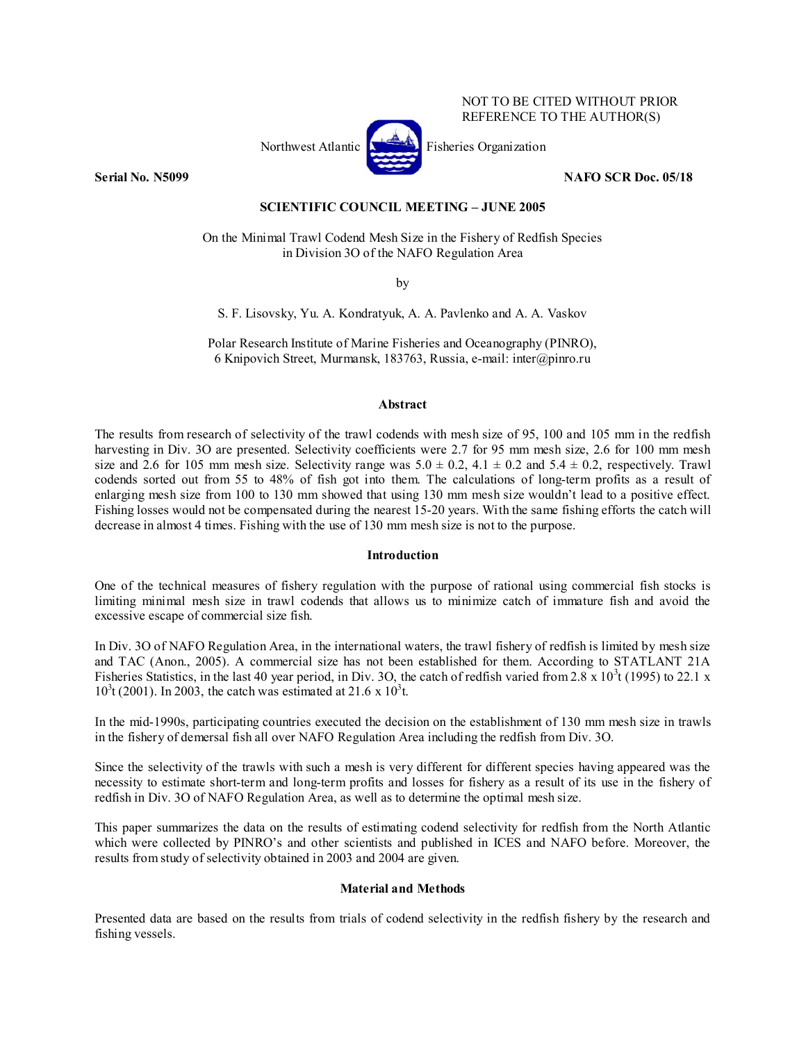

NOT TO BE CITED WITHOUT PRIOR REFERENCE TO THE AUTHOR(S)

## **Serial No. N5099 NAFO SCR Doc. 05/18**

## **SCIENTIFIC COUNCIL MEETING – JUNE 2005**

On the Minimal Trawl Codend Mesh Size in the Fishery of Redfish Species in Division 3O of the NAFO Regulation Area

by

S. F. Lisovsky, Yu. A. Kondratyuk, A. A. Pavlenko and A. A. Vaskov

Polar Research Institute of Marine Fisheries and Oceanography (PINRO), 6 Knipovich Street, Murmansk, 183763, Russia, e-mail: inter@pinro.ru

# **Abstract**

The results from research of selectivity of the trawl codends with mesh size of 95, 100 and 105 mm in the redfish harvesting in Div. 3O are presented. Selectivity coefficients were 2.7 for 95 mm mesh size, 2.6 for 100 mm mesh size and 2.6 for 105 mm mesh size. Selectivity range was  $5.0 \pm 0.2$ ,  $4.1 \pm 0.2$  and  $5.4 \pm 0.2$ , respectively. Trawl codends sorted out from 55 to 48% of fish got into them. The calculations of long-term profits as a result of enlarging mesh size from 100 to 130 mm showed that using 130 mm mesh size wouldn't lead to a positive effect. Fishing losses would not be compensated during the nearest 15-20 years. With the same fishing efforts the catch will decrease in almost 4 times. Fishing with the use of 130 mm mesh size is not to the purpose.

### **Introduction**

One of the technical measures of fishery regulation with the purpose of rational using commercial fish stocks is limiting minimal mesh size in trawl codends that allows us to minimize catch of immature fish and avoid the excessive escape of commercial size fish.

In Div. 3O of NAFO Regulation Area, in the international waters, the trawl fishery of redfish is limited by mesh size and TAC (Anon., 2005). A commercial size has not been established for them. According to STATLANT 21A Fisheries Statistics, in the last 40 year period, in Div. 3O, the catch of redfish varied from 2.8 x  $10^3$ t (1995) to 22.1 x  $10^{3}$ t (2001). In 2003, the catch was estimated at 21.6 x  $10^{3}$ t.

In the mid-1990s, participating countries executed the decision on the establishment of 130 mm mesh size in trawls in the fishery of demersal fish all over NAFO Regulation Area including the redfish from Div. 3O.

Since the selectivity of the trawls with such a mesh is very different for different species having appeared was the necessity to estimate short-term and long-term profits and losses for fishery as a result of its use in the fishery of redfish in Div. 3O of NAFO Regulation Area, as well as to determine the optimal mesh size.

This paper summarizes the data on the results of estimating codend selectivity for redfish from the North Atlantic which were collected by PINRO's and other scientists and published in ICES and NAFO before. Moreover, the results from study of selectivity obtained in 2003 and 2004 are given.

# **Material and Methods**

Presented data are based on the results from trials of codend selectivity in the redfish fishery by the research and fishing vessels.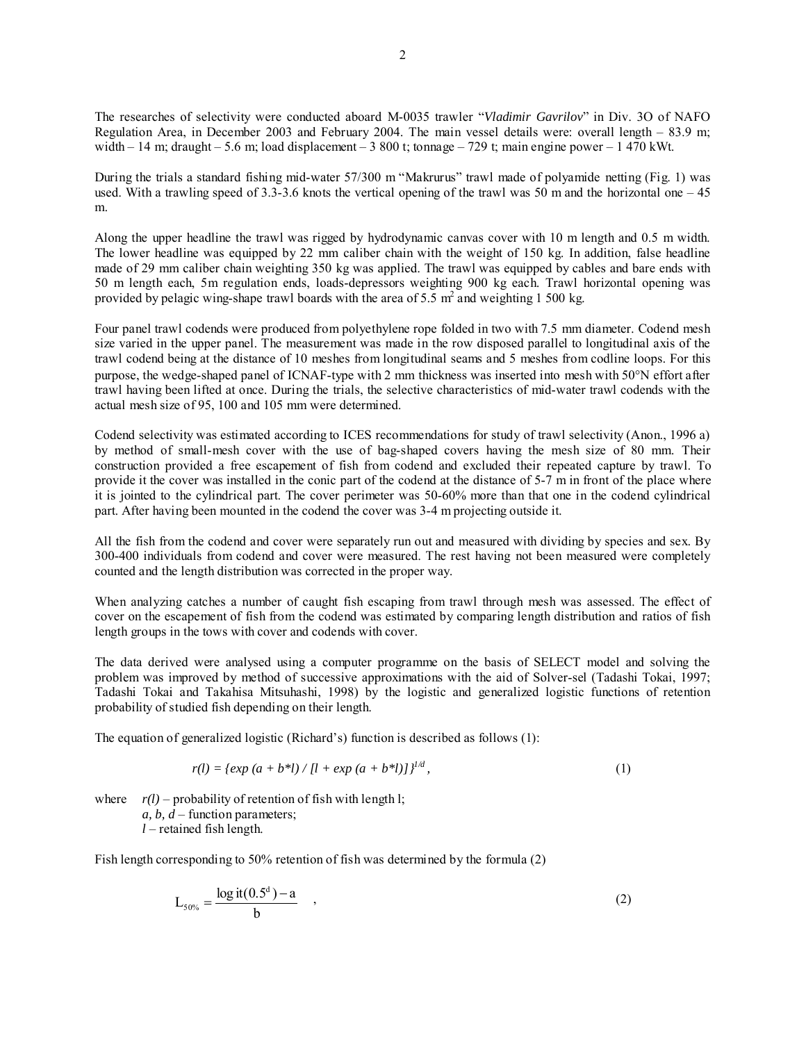The researches of selectivity were conducted aboard M-0035 trawler "*Vladimir Gavrilov*" in Div. 3O of NAFO Regulation Area, in December 2003 and February 2004. The main vessel details were: overall length – 83.9 m; width – 14 m; draught – 5.6 m; load displacement – 3 800 t; tonnage – 729 t; main engine power – 1 470 kWt.

During the trials a standard fishing mid-water 57/300 m "Makrurus" trawl made of polyamide netting (Fig. 1) was used. With a trawling speed of 3.3-3.6 knots the vertical opening of the trawl was 50 m and the horizontal one  $-45$ m.

Along the upper headline the trawl was rigged by hydrodynamic canvas cover with 10 m length and 0.5 m width. The lower headline was equipped by 22 mm caliber chain with the weight of 150 kg. In addition, false headline made of 29 mm caliber chain weighting 350 kg was applied. The trawl was equipped by cables and bare ends with 50 m length each, 5m regulation ends, loads-depressors weighting 900 kg each. Trawl horizontal opening was provided by pelagic wing-shape trawl boards with the area of 5.5  $m^2$  and weighting 1 500 kg.

Four panel trawl codends were produced from polyethylene rope folded in two with 7.5 mm diameter. Codend mesh size varied in the upper panel. The measurement was made in the row disposed parallel to longitudinal axis of the trawl codend being at the distance of 10 meshes from longitudinal seams and 5 meshes from codline loops. For this purpose, the wedge-shaped panel of ICNAF-type with 2 mm thickness was inserted into mesh with 50°N effort after trawl having been lifted at once. During the trials, the selective characteristics of mid-water trawl codends with the actual mesh size of 95, 100 and 105 mm were determined.

Codend selectivity was estimated according to ICES recommendations for study of trawl selectivity (Anon., 1996 a) by method of small-mesh cover with the use of bag-shaped covers having the mesh size of 80 mm. Their construction provided a free escapement of fish from codend and excluded their repeated capture by trawl. To provide it the cover was installed in the conic part of the codend at the distance of 5-7 m in front of the place where it is jointed to the cylindrical part. The cover perimeter was 50-60% more than that one in the codend cylindrical part. After having been mounted in the codend the cover was 3-4 m projecting outside it.

All the fish from the codend and cover were separately run out and measured with dividing by species and sex. By 300-400 individuals from codend and cover were measured. The rest having not been measured were completely counted and the length distribution was corrected in the proper way.

When analyzing catches a number of caught fish escaping from trawl through mesh was assessed. The effect of cover on the escapement of fish from the codend was estimated by comparing length distribution and ratios of fish length groups in the tows with cover and codends with cover.

The data derived were analysed using a computer programme on the basis of SELECT model and solving the problem was improved by method of successive approximations with the aid of Solver-sel (Tadashi Tokai, 1997; Tadashi Tokai and Takahisa Mitsuhashi, 1998) by the logistic and generalized logistic functions of retention probability of studied fish depending on their length.

The equation of generalized logistic (Richard's) function is described as follows (1):

$$
r(l) = \{ \exp{(a+b^{*}l)}/[l + \exp{(a+b^{*}l)}]} \}^{l/d}, \tag{1}
$$

where  $r(l)$  – probability of retention of fish with length l; *a, b, d* – function parameters; *l* – retained fish length.

Fish length corresponding to 50% retention of fish was determined by the formula (2)

$$
L_{50\%} = \frac{\log \text{it}(0.5^d) - a}{b} \quad , \tag{2}
$$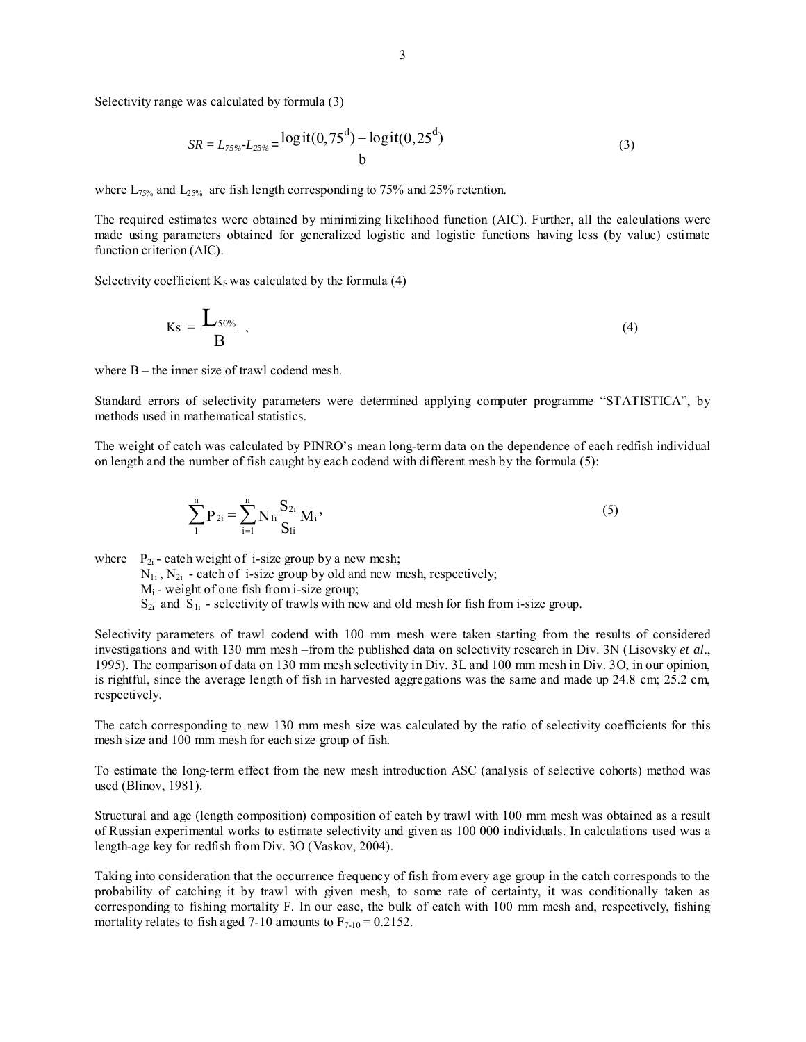Selectivity range was calculated by formula (3)

$$
SR = L_{75\%} - L_{25\%} = \frac{\log \text{it}(0, 75^d) - \log \text{it}(0, 25^d)}{b} \tag{3}
$$

where  $L_{75\%}$  and  $L_{25\%}$  are fish length corresponding to 75% and 25% retention.

The required estimates were obtained by minimizing likelihood function (AIC). Further, all the calculations were made using parameters obtained for generalized logistic and logistic functions having less (by value) estimate function criterion (AIC).

Selectivity coefficient  $K_S$  was calculated by the formula (4)

$$
Ks = \frac{L_{50\%}}{B} \tag{4}
$$

where B – the inner size of trawl codend mesh.

Standard errors of selectivity parameters were determined applying computer programme "STATISTICA", by methods used in mathematical statistics.

The weight of catch was calculated by PINRO's mean long-term data on the dependence of each redfish individual on length and the number of fish caught by each codend with different mesh by the formula (5):

$$
\sum_{1}^{n} P_{2i} = \sum_{i=1}^{n} N_{1i} \frac{S_{2i}}{S_{1i}} M_i,
$$
\n(5)

where  $P_{2i}$  - catch weight of i-size group by a new mesh;

 $N_{1i}$ ,  $N_{2i}$  - catch of i-size group by old and new mesh, respectively;

 $M_i$  - weight of one fish from i-size group;

 $S_{2i}$  and  $S_{1i}$  - selectivity of trawls with new and old mesh for fish from i-size group.

Selectivity parameters of trawl codend with 100 mm mesh were taken starting from the results of considered investigations and with 130 mm mesh –from the published data on selectivity research in Div. 3N (Lisovsky *et al*., 1995). The comparison of data on 130 mm mesh selectivity in Div. 3L and 100 mm mesh in Div. 3O, in our opinion, is rightful, since the average length of fish in harvested aggregations was the same and made up 24.8 cm; 25.2 cm, respectively.

The catch corresponding to new 130 mm mesh size was calculated by the ratio of selectivity coefficients for this mesh size and 100 mm mesh for each size group of fish.

To estimate the long-term effect from the new mesh introduction ASC (analysis of selective cohorts) method was used (Blinov, 1981).

Structural and age (length composition) composition of catch by trawl with 100 mm mesh was obtained as a result of Russian experimental works to estimate selectivity and given as 100 000 individuals. In calculations used was a length-age key for redfish from Div. 3O (Vaskov, 2004).

Taking into consideration that the occurrence frequency of fish from every age group in the catch corresponds to the probability of catching it by trawl with given mesh, to some rate of certainty, it was conditionally taken as corresponding to fishing mortality F. In our case, the bulk of catch with 100 mm mesh and, respectively, fishing mortality relates to fish aged 7-10 amounts to  $F_{7-10} = 0.2152$ .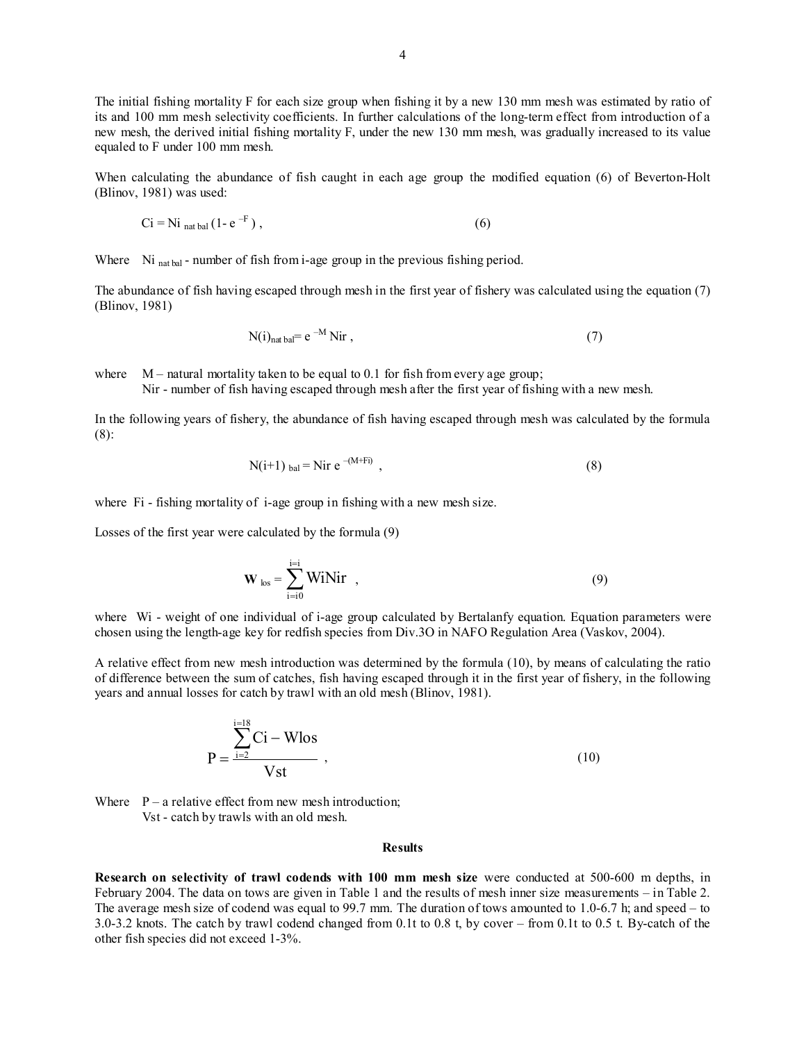The initial fishing mortality F for each size group when fishing it by a new 130 mm mesh was estimated by ratio of its and 100 mm mesh selectivity coefficients. In further calculations of the long-term effect from introduction of a new mesh, the derived initial fishing mortality F, under the new 130 mm mesh, was gradually increased to its value equaled to F under 100 mm mesh.

When calculating the abundance of fish caught in each age group the modified equation (6) of Beverton-Holt (Blinov, 1981) was used:

$$
Ci = Ni_{\text{nat bal}} (1 - e^{-F}), \qquad (6)
$$

Where Ni <sub>nat bal</sub> - number of fish from i-age group in the previous fishing period.

The abundance of fish having escaped through mesh in the first year of fishery was calculated using the equation (7) (Blinov, 1981)

$$
N(i)_{nat\,bal} = e^{-M} \, Nir \tag{7}
$$

where  $M$  – natural mortality taken to be equal to 0.1 for fish from every age group;

Nir - number of fish having escaped through mesh after the first year of fishing with a new mesh.

In the following years of fishery, the abundance of fish having escaped through mesh was calculated by the formula (8):

$$
N(i+1)_{bal} = Nir e^{-(M+Fi)} \t\t(8)
$$

where F<sub>i</sub> - fishing mortality of i-age group in fishing with a new mesh size.

Losses of the first year were calculated by the formula (9)

$$
\mathbf{W}_{\text{los}} = \sum_{i=10}^{j=1} \text{WiNir} , \qquad (9)
$$

where Wi - weight of one individual of i-age group calculated by Bertalanfy equation. Equation parameters were chosen using the length-age key for redfish species from Div.3O in NAFO Regulation Area (Vaskov, 2004).

A relative effect from new mesh introduction was determined by the formula (10), by means of calculating the ratio of difference between the sum of catches, fish having escaped through it in the first year of fishery, in the following years and annual losses for catch by trawl with an old mesh (Blinov, 1981).

$$
P = \frac{\sum_{i=2}^{i=18} Ci - Wlos}{Vst}
$$
 (10)

Where  $P - a$  relative effect from new mesh introduction; Vst - catch by trawls with an old mesh.

#### **Results**

**Research on selectivity of trawl codends with 100 mm mesh size** were conducted at 500-600 m depths, in February 2004. The data on tows are given in Table 1 and the results of mesh inner size measurements – in Table 2. The average mesh size of codend was equal to 99.7 mm. The duration of tows amounted to 1.0-6.7 h; and speed – to 3.0-3.2 knots. The catch by trawl codend changed from 0.1t to 0.8 t, by cover – from 0.1t to 0.5 t. By-catch of the other fish species did not exceed 1-3%.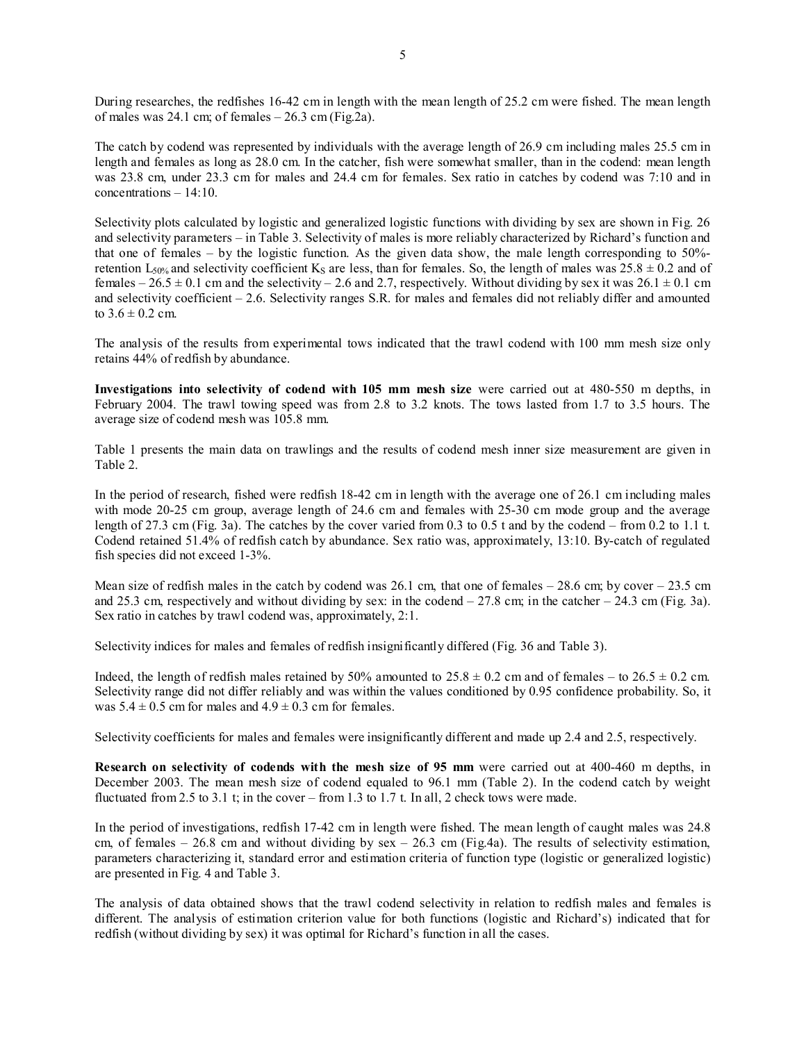During researches, the redfishes 16-42 cm in length with the mean length of 25.2 cm were fished. The mean length of males was 24.1 cm; of females  $-26.3$  cm (Fig.2a).

The catch by codend was represented by individuals with the average length of 26.9 cm including males 25.5 cm in length and females as long as 28.0 cm. In the catcher, fish were somewhat smaller, than in the codend: mean length was 23.8 cm, under 23.3 cm for males and 24.4 cm for females. Sex ratio in catches by codend was 7:10 and in  $concentrations - 14:10$ 

Selectivity plots calculated by logistic and generalized logistic functions with dividing by sex are shown in Fig. 26 and selectivity parameters – in Table 3. Selectivity of males is more reliably characterized by Richard's function and that one of females – by the logistic function. As the given data show, the male length corresponding to 50% retention  $L_{50\%}$  and selectivity coefficient K<sub>S</sub> are less, than for females. So, the length of males was  $25.8 \pm 0.2$  and of females –  $26.5 \pm 0.1$  cm and the selectivity – 2.6 and 2.7, respectively. Without dividing by sex it was  $26.1 \pm 0.1$  cm and selectivity coefficient – 2.6. Selectivity ranges S.R. for males and females did not reliably differ and amounted to  $3.6 \pm 0.2$  cm.

The analysis of the results from experimental tows indicated that the trawl codend with 100 mm mesh size only retains 44% of redfish by abundance.

**Investigations into selectivity of codend with 105 mm mesh size** were carried out at 480-550 m depths, in February 2004. The trawl towing speed was from 2.8 to 3.2 knots. The tows lasted from 1.7 to 3.5 hours. The average size of codend mesh was 105.8 mm.

Table 1 presents the main data on trawlings and the results of codend mesh inner size measurement are given in Table 2.

In the period of research, fished were redfish 18-42 cm in length with the average one of 26.1 cm including males with mode 20-25 cm group, average length of 24.6 cm and females with 25-30 cm mode group and the average length of 27.3 cm (Fig. 3a). The catches by the cover varied from 0.3 to 0.5 t and by the codend – from 0.2 to 1.1 t. Codend retained 51.4% of redfish catch by abundance. Sex ratio was, approximately, 13:10. By-catch of regulated fish species did not exceed 1-3%.

Mean size of redfish males in the catch by codend was 26.1 cm, that one of females  $-28.6$  cm; by cover  $-23.5$  cm and 25.3 cm, respectively and without dividing by sex: in the codend  $-27.8$  cm; in the catcher  $-24.3$  cm (Fig. 3a). Sex ratio in catches by trawl codend was, approximately, 2:1.

Selectivity indices for males and females of redfish insignificantly differed (Fig. 36 and Table 3).

Indeed, the length of redfish males retained by 50% amounted to  $25.8 \pm 0.2$  cm and of females – to  $26.5 \pm 0.2$  cm. Selectivity range did not differ reliably and was within the values conditioned by 0.95 confidence probability. So, it was  $5.4 \pm 0.5$  cm for males and  $4.9 \pm 0.3$  cm for females.

Selectivity coefficients for males and females were insignificantly different and made up 2.4 and 2.5, respectively.

**Research on selectivity of codends with the mesh size of 95 mm** were carried out at 400-460 m depths, in December 2003. The mean mesh size of codend equaled to 96.1 mm (Table 2). In the codend catch by weight fluctuated from 2.5 to 3.1 t; in the cover – from 1.3 to 1.7 t. In all, 2 check tows were made.

In the period of investigations, redfish 17-42 cm in length were fished. The mean length of caught males was 24.8 cm, of females – 26.8 cm and without dividing by  $sex - 26.3$  cm (Fig.4a). The results of selectivity estimation, parameters characterizing it, standard error and estimation criteria of function type (logistic or generalized logistic) are presented in Fig. 4 and Table 3.

The analysis of data obtained shows that the trawl codend selectivity in relation to redfish males and females is different. The analysis of estimation criterion value for both functions (logistic and Richard's) indicated that for redfish (without dividing by sex) it was optimal for Richard's function in all the cases.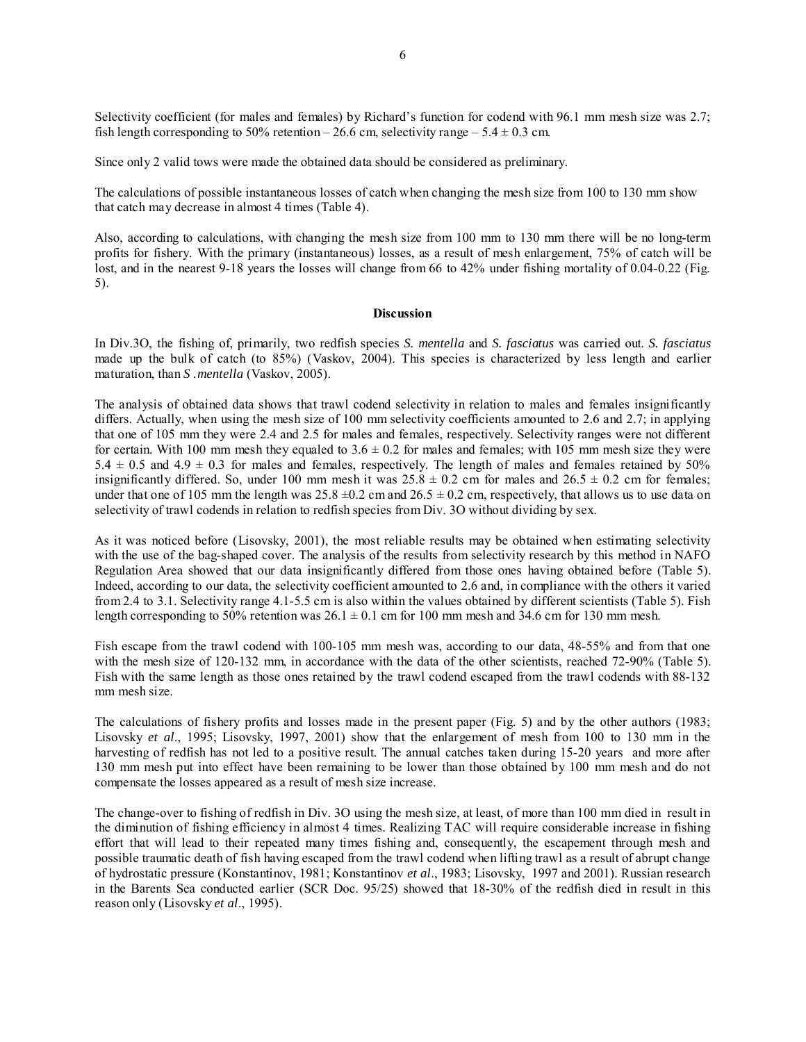Selectivity coefficient (for males and females) by Richard's function for codend with 96.1 mm mesh size was 2.7; fish length corresponding to 50% retention – 26.6 cm, selectivity range – 5.4  $\pm$  0.3 cm.

Since only 2 valid tows were made the obtained data should be considered as preliminary.

The calculations of possible instantaneous losses of catch when changing the mesh size from 100 to 130 mm show that catch may decrease in almost 4 times (Table 4).

Also, according to calculations, with changing the mesh size from 100 mm to 130 mm there will be no long-term profits for fishery. With the primary (instantaneous) losses, as a result of mesh enlargement, 75% of catch will be lost, and in the nearest 9-18 years the losses will change from 66 to 42% under fishing mortality of 0.04-0.22 (Fig. 5).

### **Discussion**

In Div.3O, the fishing of, primarily, two redfish species *S. mentella* and *S. fasciatus* was carried out. *S. fasciatus* made up the bulk of catch (to 85%) (Vaskov, 2004). This species is characterized by less length and earlier maturation, than *S .mentella* (Vaskov, 2005).

The analysis of obtained data shows that trawl codend selectivity in relation to males and females insignificantly differs. Actually, when using the mesh size of 100 mm selectivity coefficients amounted to 2.6 and 2.7; in applying that one of 105 mm they were 2.4 and 2.5 for males and females, respectively. Selectivity ranges were not different for certain. With 100 mm mesh they equaled to  $3.6 \pm 0.2$  for males and females; with 105 mm mesh size they were  $5.4 \pm 0.5$  and  $4.9 \pm 0.3$  for males and females, respectively. The length of males and females retained by 50% insignificantly differed. So, under 100 mm mesh it was  $25.8 \pm 0.2$  cm for males and  $26.5 \pm 0.2$  cm for females; under that one of 105 mm the length was  $25.8 \pm 0.2$  cm and  $26.5 \pm 0.2$  cm, respectively, that allows us to use data on selectivity of trawl codends in relation to redfish species from Div. 3O without dividing by sex.

As it was noticed before (Lisovsky, 2001), the most reliable results may be obtained when estimating selectivity with the use of the bag-shaped cover. The analysis of the results from selectivity research by this method in NAFO Regulation Area showed that our data insignificantly differed from those ones having obtained before (Table 5). Indeed, according to our data, the selectivity coefficient amounted to 2.6 and, in compliance with the others it varied from 2.4 to 3.1. Selectivity range 4.1-5.5 cm is also within the values obtained by different scientists (Table 5). Fish length corresponding to 50% retention was  $26.1 \pm 0.1$  cm for 100 mm mesh and 34.6 cm for 130 mm mesh.

Fish escape from the trawl codend with 100-105 mm mesh was, according to our data, 48-55% and from that one with the mesh size of 120-132 mm, in accordance with the data of the other scientists, reached 72-90% (Table 5). Fish with the same length as those ones retained by the trawl codend escaped from the trawl codends with 88-132 mm mesh size.

The calculations of fishery profits and losses made in the present paper (Fig. 5) and by the other authors (1983; Lisovsky *et al*., 1995; Lisovsky, 1997, 2001) show that the enlargement of mesh from 100 to 130 mm in the harvesting of redfish has not led to a positive result. The annual catches taken during 15-20 years and more after 130 mm mesh put into effect have been remaining to be lower than those obtained by 100 mm mesh and do not compensate the losses appeared as a result of mesh size increase.

The change-over to fishing of redfish in Div. 3O using the mesh size, at least, of more than 100 mm died in result in the diminution of fishing efficiency in almost 4 times. Realizing TAC will require considerable increase in fishing effort that will lead to their repeated many times fishing and, consequently, the escapement through mesh and possible traumatic death of fish having escaped from the trawl codend when lifting trawl as a result of abrupt change of hydrostatic pressure (Konstantinov, 1981; Konstantinov *et al*., 1983; Lisovsky, 1997 and 2001). Russian research in the Barents Sea conducted earlier (SCR Doc. 95/25) showed that 18-30% of the redfish died in result in this reason only (Lisovsky *et al*., 1995).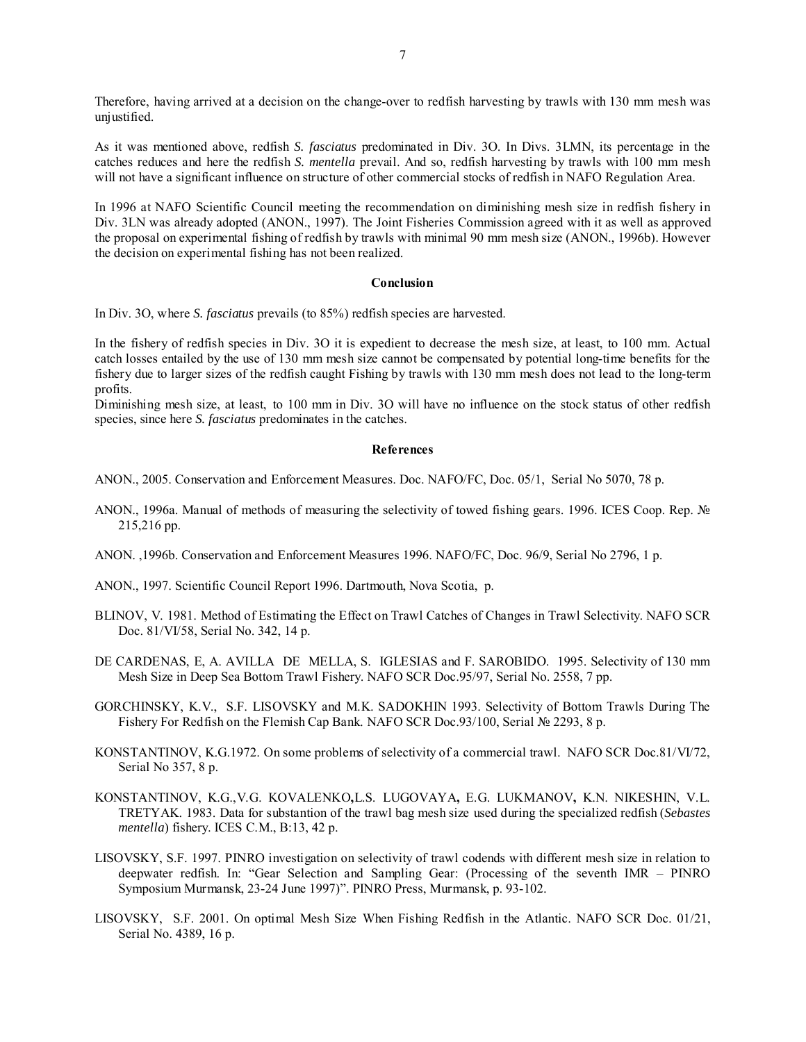Therefore, having arrived at a decision on the change-over to redfish harvesting by trawls with 130 mm mesh was unjustified.

As it was mentioned above, redfish *S. fasciatus* predominated in Div. 3O. In Divs. 3LMN, its percentage in the catches reduces and here the redfish *S. mentella* prevail. And so, redfish harvesting by trawls with 100 mm mesh will not have a significant influence on structure of other commercial stocks of redfish in NAFO Regulation Area.

In 1996 at NAFO Scientific Council meeting the recommendation on diminishing mesh size in redfish fishery in Div. 3LN was already adopted (ANON., 1997). The Joint Fisheries Commission agreed with it as well as approved the proposal on experimental fishing of redfish by trawls with minimal 90 mm mesh size (ANON., 1996b). However the decision on experimental fishing has not been realized.

### **Conclusion**

In Div. 3O, where *S. fasciatus* prevails (to 85%) redfish species are harvested.

In the fishery of redfish species in Div. 3O it is expedient to decrease the mesh size, at least, to 100 mm. Actual catch losses entailed by the use of 130 mm mesh size cannot be compensated by potential long-time benefits for the fishery due to larger sizes of the redfish caught Fishing by trawls with 130 mm mesh does not lead to the long-term profits.

Diminishing mesh size, at least, to 100 mm in Div. 3O will have no influence on the stock status of other redfish species, since here *S. fasciatus* predominates in the catches.

### **References**

ANON., 2005. Conservation and Enforcement Measures. Doc. NAFO/FC, Doc. 05/1, Serial No 5070, 78 p.

- ANON., 1996a. Manual of methods of measuring the selectivity of towed fishing gears. 1996. ICES Coop. Rep. № 215,216 pp.
- ANON. ,1996b. Conservation and Enforcement Measures 1996. NAFO/FC, Doc. 96/9, Serial No 2796, 1 p.
- ANON., 1997. Scientific Council Report 1996. Dartmouth, Nova Scotia, p.
- BLINOV, V. 1981. Method of Estimating the Effect on Trawl Catches of Changes in Trawl Selectivity. NAFO SCR Doc. 81/VI/58, Serial No. 342, 14 p.
- DE CARDENAS, E, A. AVILLA DE MELLA, S. IGLESIAS and F. SAROBIDO. 1995. Selectivity of 130 mm Mesh Size in Deep Sea Bottom Trawl Fishery. NAFO SCR Doc.95/97, Serial No. 2558, 7 pp.
- GORCHINSKY, K.V., S.F. LISOVSKY and M.K. SADOKHIN 1993. Selectivity of Bottom Trawls During The Fishery For Redfish on the Flemish Cap Bank. NAFO SCR Doc.93/100, Serial № 2293, 8 p.
- KONSTANTINOV, K.G.1972. On some problems of selectivity of a commercial trawl. NAFO SCR Doc.81/VI/72, Serial No 357, 8 p.
- KONSTANTINOV, K.G.,V.G. KOVALENKO**,**L.S. LUGOVAYA**,** E.G. LUKMANOV**,** K.N. NIKESHIN, V.L. TRETYAK. 1983. Data for substantion of the trawl bag mesh size used during the specialized redfish (*Sebastes mentella*) fishery. ICES C.M., B:13, 42 p.
- LISOVSKY, S.F. 1997. PINRO investigation on selectivity of trawl codends with different mesh size in relation to deepwater redfish. In: "Gear Selection and Sampling Gear: (Processing of the seventh IMR – PINRO Symposium Murmansk, 23-24 June 1997)". PINRO Press, Murmansk, p. 93-102.
- LISOVSKY, S.F. 2001. On optimal Mesh Size When Fishing Redfish in the Atlantic. NAFO SCR Doc. 01/21, Serial No. 4389, 16 p.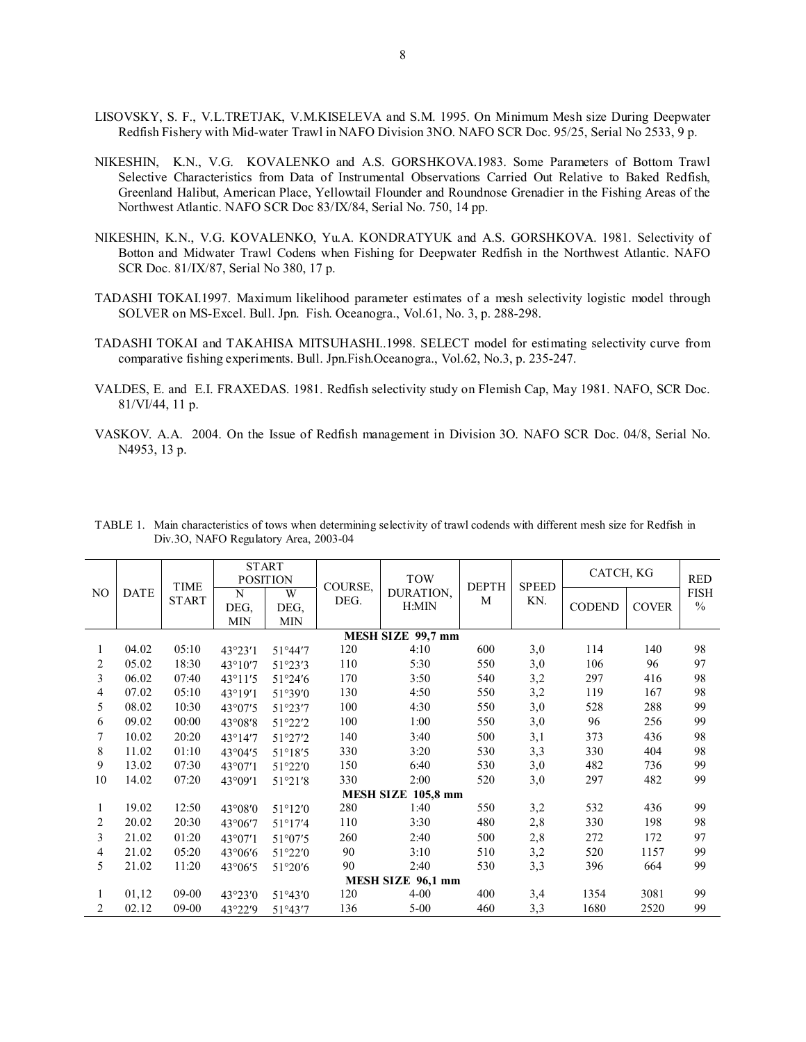- LISOVSKY, S. F., V.L.TRETJAK, V.M.KISELEVA and S.M. 1995. On Minimum Mesh size During Deepwater Redfish Fishery with Mid-water Trawl in NAFO Division 3NO. NAFO SCR Doc. 95/25, Serial No 2533, 9 p.
- NIKESHIN, K.N., V.G. KOVALENKO and A.S. GORSHKOVA.1983. Some Parameters of Bottom Trawl Selective Characteristics from Data of Instrumental Observations Carried Out Relative to Baked Redfish, Greenland Halibut, American Place, Yellowtail Flounder and Roundnose Grenadier in the Fishing Areas of the Northwest Atlantic. NAFO SCR Doc 83/IX/84, Serial No. 750, 14 pp.
- NIKESHIN, K.N., V.G. KOVALENKO, Yu.A. KONDRATYUK and A.S. GORSHKOVA. 1981. Selectivity of Botton and Midwater Trawl Codens when Fishing for Deepwater Redfish in the Northwest Atlantic. NAFO SCR Doc. 81/IX/87, Serial No 380, 17 p.
- TADASHI TOKAI.1997. Maximum likelihood parameter estimates of a mesh selectivity logistic model through SOLVER on MS-Excel. Bull. Jpn. Fish. Oceanogra., Vol.61, No. 3, р. 288-298.
- TADASHI TOKAI and TAKAHISA MITSUHASHI..1998. SELECT model for estimating selectivity curve from comparative fishing experiments. Bull. Jpn.Fish.Oceanogra., Vol.62, No.3, р. 235-247.
- VALDES, E. and E.I. FRAXEDAS. 1981. Redfish selectivity study on Flemish Cap, May 1981. NAFO, SCR Doc. 81/VI/44, 11 p.
- VASKOV. A.A. 2004. On the Issue of Redfish management in Division 3O. NAFO SCR Doc. 04/8, Serial No. N4953, 13 p.

|                   |             | <b>TIME</b><br><b>START</b> | <b>START</b>            | <b>POSITION</b>         | COURSE, | <b>TOW</b><br>DURATION,<br>H:MIN | <b>DEPTH</b><br>M | <b>SPEED</b><br>KN. | CATCH, KG     |              | <b>RED</b>                   |
|-------------------|-------------|-----------------------------|-------------------------|-------------------------|---------|----------------------------------|-------------------|---------------------|---------------|--------------|------------------------------|
| NO                | <b>DATE</b> |                             | N<br>DEG,<br><b>MIN</b> | W<br>DEG.<br><b>MIN</b> | DEG.    |                                  |                   |                     | <b>CODEND</b> | <b>COVER</b> | <b>FISH</b><br>$\frac{0}{0}$ |
| MESH SIZE 99,7 mm |             |                             |                         |                         |         |                                  |                   |                     |               |              |                              |
| 1                 | 04.02       | 05:10                       | 43°23'1                 | 51°44'7                 | 120     | 4:10                             | 600               | 3,0                 | 114           | 140          | 98                           |
| 2                 | 05.02       | 18:30                       | 43°10'7                 | 51°23'3                 | 110     | 5:30                             | 550               | 3,0                 | 106           | 96           | 97                           |
| 3                 | 06.02       | 07:40                       | $43^{\circ}11'5$        | 51°24'6                 | 170     | 3:50                             | 540               | 3,2                 | 297           | 416          | 98                           |
| 4                 | 07.02       | 05:10                       | 43°19'1                 | 51°39'0                 | 130     | 4:50                             | 550               | 3,2                 | 119           | 167          | 98                           |
| 5                 | 08.02       | 10:30                       | 43°07'5                 | 51°23'7                 | 100     | 4:30                             | 550               | 3,0                 | 528           | 288          | 99                           |
| 6                 | 09.02       | 00:00                       | 43°08'8                 | 51°22'2                 | 100     | 1:00                             | 550               | 3,0                 | 96            | 256          | 99                           |
| 7                 | 10.02       | 20:20                       | 43°14'7                 | 51°27'2                 | 140     | 3:40                             | 500               | 3,1                 | 373           | 436          | 98                           |
| 8                 | 11.02       | 01:10                       | $43^{\circ}04'5$        | $51^{\circ}18'5$        | 330     | 3:20                             | 530               | 3,3                 | 330           | 404          | 98                           |
| 9                 | 13.02       | 07:30                       | 43°07'1                 | 51°22'0                 | 150     | 6:40                             | 530               | 3,0                 | 482           | 736          | 99                           |
| 10                | 14.02       | 07:20                       | 43°09'1                 | 51°21'8                 | 330     | 2:00                             | 520               | 3,0                 | 297           | 482          | 99                           |
|                   |             |                             |                         |                         |         | MESH SIZE 105,8 mm               |                   |                     |               |              |                              |
| 1                 | 19.02       | 12:50                       | 43°08'0                 | $51^{\circ}12'0$        | 280     | 1:40                             | 550               | 3,2                 | 532           | 436          | 99                           |
| 2                 | 20.02       | 20:30                       | 43°06'7                 | $51^{\circ}17'4$        | 110     | 3:30                             | 480               | 2,8                 | 330           | 198          | 98                           |
| 3                 | 21.02       | 01:20                       | 43°07'1                 | $51^{\circ}07'5$        | 260     | 2:40                             | 500               | 2,8                 | 272           | 172          | 97                           |
| 4                 | 21.02       | 05:20                       | 43°06'6                 | 51°22'0                 | 90      | 3:10                             | 510               | 3,2                 | 520           | 1157         | 99                           |
| 5                 | 21.02       | 11:20                       | 43°06'5                 | 51°20'6                 | 90      | 2:40                             | 530               | 3,3                 | 396           | 664          | 99                           |
| MESH SIZE 96,1 mm |             |                             |                         |                         |         |                                  |                   |                     |               |              |                              |
| 1                 | 01,12       | $09-00$                     | 43°23′0                 | 51°43'0                 | 120     | $4 - 00$                         | 400               | 3,4                 | 1354          | 3081         | 99                           |
| 2                 | 02.12       | 09-00                       | 43°22'9                 | 51°43'7                 | 136     | $5 - 00$                         | 460               | 3,3                 | 1680          | 2520         | 99                           |

TABLE 1. Main characteristics of tows when determining selectivity of trawl codends with different mesh size for Redfish in Div.3О, NAFO Regulatory Area, 2003-04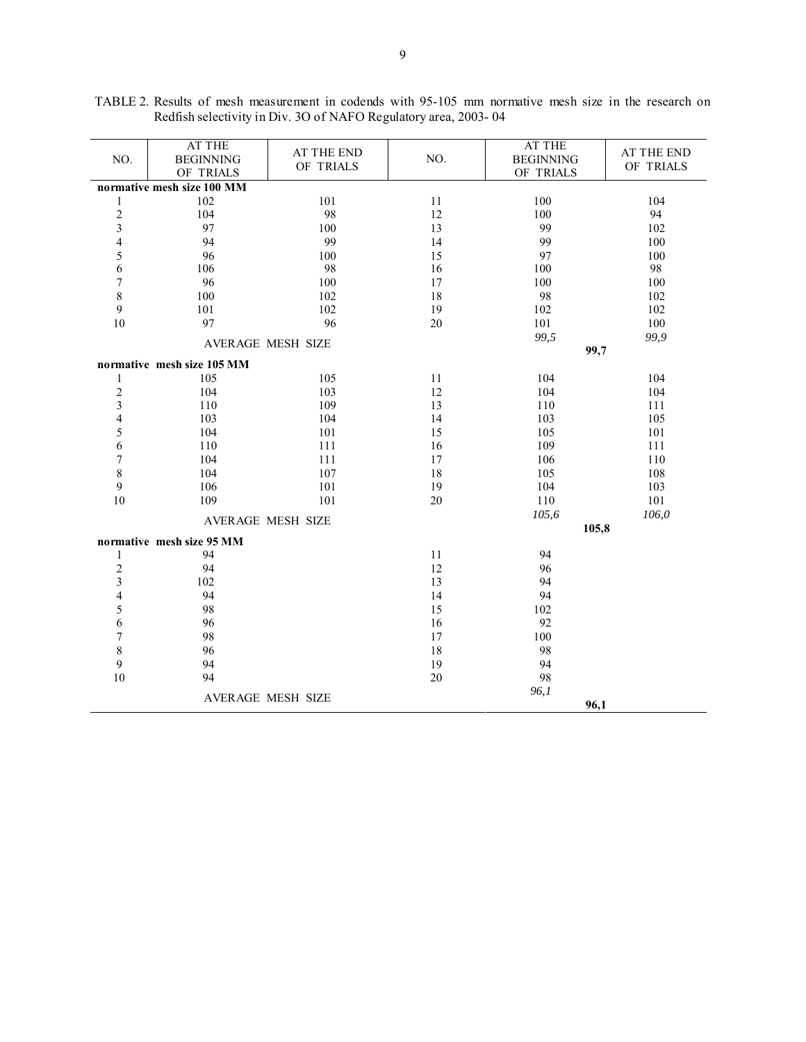| NO.                        | AT THE<br><b>BEGINNING</b><br>OF TRIALS | AT THE END<br>OF TRIALS | NO.       | <b>AT THE</b><br><b>BEGINNING</b><br>OF TRIALS | AT THE END<br>OF TRIALS |  |  |  |  |
|----------------------------|-----------------------------------------|-------------------------|-----------|------------------------------------------------|-------------------------|--|--|--|--|
| normative mesh size 100 MM |                                         |                         |           |                                                |                         |  |  |  |  |
| $\mathbf{1}$               | 102                                     | 101                     | 11        | 100                                            | 104                     |  |  |  |  |
| $\overline{c}$             | 104                                     | 98                      | 12        | 100                                            | 94                      |  |  |  |  |
| 3                          | 97                                      | 100                     | 13        | 99                                             | 102                     |  |  |  |  |
| 4                          | 94                                      | 99                      | 14        | 99                                             | 100                     |  |  |  |  |
| 5                          | 96                                      | 100                     | 15        | 97                                             | 100                     |  |  |  |  |
| 6                          | 106                                     | 98                      | 16<br>100 |                                                | 98                      |  |  |  |  |
| $\overline{7}$             | 96                                      | 100                     | 17        | 100                                            | 100                     |  |  |  |  |
| 8                          | 100                                     | 102                     | 18        | 98                                             | 102                     |  |  |  |  |
| 9                          | 101                                     | 102                     | 19        | 102                                            | 102                     |  |  |  |  |
| 10                         | 97                                      | 96                      | $20\,$    | 101                                            | 100                     |  |  |  |  |
|                            | AVERAGE MESH SIZE                       |                         |           | 99,5                                           | 99,9                    |  |  |  |  |
|                            |                                         |                         |           | 99,7                                           |                         |  |  |  |  |
|                            | normative mesh size 105 MM              |                         |           |                                                |                         |  |  |  |  |
| 1                          | 105                                     | 105                     | 11        | 104                                            | 104                     |  |  |  |  |
| $\overline{c}$             | 104                                     | 103                     | 12        | 104                                            | 104                     |  |  |  |  |
| 3                          | 110                                     | 109                     | 13        | 110                                            | 111                     |  |  |  |  |
| 4                          | 103                                     | 104                     | 14        | 103                                            | 105                     |  |  |  |  |
| 5                          | 104                                     | 101                     | 15        | 105                                            | 101                     |  |  |  |  |
| 6                          | 110                                     | 111                     | 16        | 109                                            | 111                     |  |  |  |  |
| $\sqrt{ }$                 | 104                                     | 111                     | 17        | 106                                            | 110                     |  |  |  |  |
| 8                          | 104                                     | 107                     | 18        | 105                                            | 108                     |  |  |  |  |
| 9                          | 106                                     | 101                     | 19        | 104                                            | 103                     |  |  |  |  |
| 10                         | 109<br>101                              |                         | 20        | 110                                            | 101                     |  |  |  |  |
|                            | AVERAGE MESH SIZE                       |                         |           | 105,6                                          | 106,0                   |  |  |  |  |
|                            |                                         |                         |           | 105,8                                          |                         |  |  |  |  |
|                            | normative mesh size 95 MM               |                         |           |                                                |                         |  |  |  |  |
| 1                          | 94                                      |                         | 11        | 94                                             |                         |  |  |  |  |
| $\overline{c}$             | 94                                      |                         | 12        | 96                                             |                         |  |  |  |  |
| 3                          | 102                                     |                         | 13        | 94                                             |                         |  |  |  |  |
| 4                          | 94                                      |                         | 14        | 94                                             |                         |  |  |  |  |
| 5                          | 98                                      |                         | 15        | 102                                            |                         |  |  |  |  |
| 6                          | 96                                      |                         | 16        | 92                                             |                         |  |  |  |  |
| $\sqrt{ }$                 | 98                                      |                         | 17        | 100                                            |                         |  |  |  |  |
| 8                          | 96                                      |                         | 18        | 98                                             |                         |  |  |  |  |
| 9                          | 94                                      |                         | 19        | 94                                             |                         |  |  |  |  |
| $10\,$                     | 94                                      |                         | 20        | 98                                             |                         |  |  |  |  |
|                            | AVERAGE MESH SIZE                       | 96,1                    |           |                                                |                         |  |  |  |  |
|                            |                                         | 96,1                    |           |                                                |                         |  |  |  |  |

TABLE 2. Results of mesh measurement in codends with 95-105 mm normative mesh size in the research on Redfish selectivity in Div. 3O of NAFO Regulatory area, 2003- 04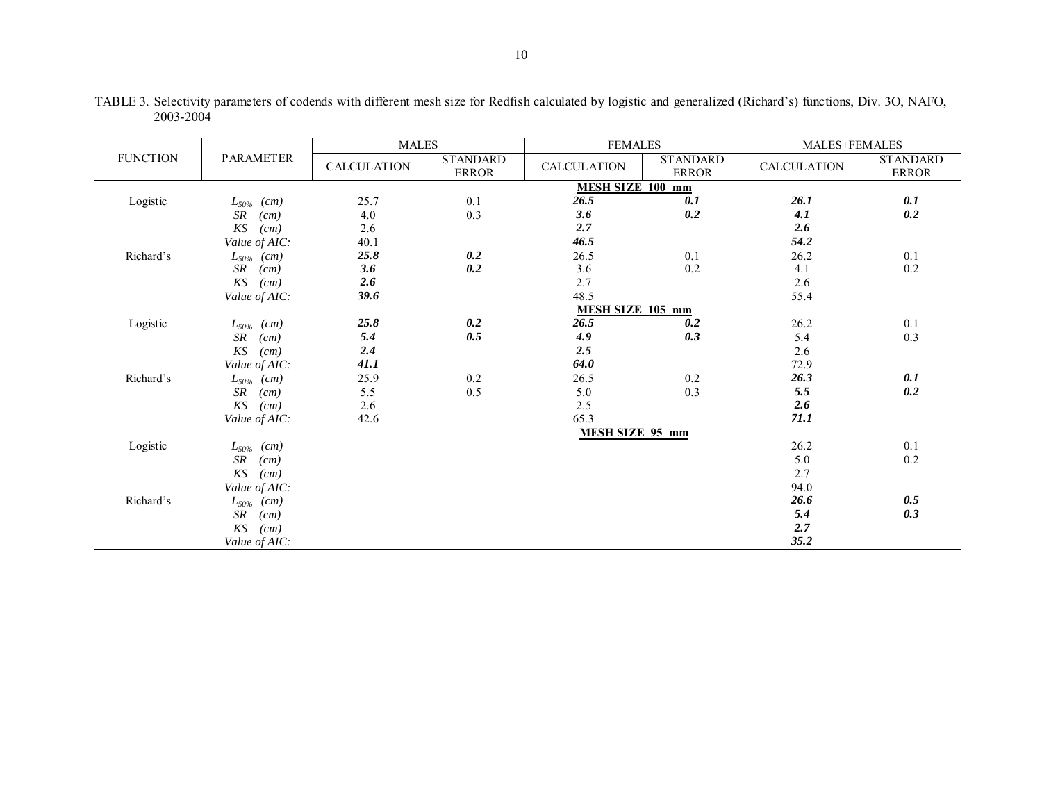|                 |                             | <b>MALES</b>       |                                 | <b>FEMALES</b>          |                                 | MALES+FEMALES      |                                 |  |  |  |  |
|-----------------|-----------------------------|--------------------|---------------------------------|-------------------------|---------------------------------|--------------------|---------------------------------|--|--|--|--|
| <b>FUNCTION</b> | <b>PARAMETER</b>            | <b>CALCULATION</b> | <b>STANDARD</b><br><b>ERROR</b> | <b>CALCULATION</b>      | <b>STANDARD</b><br><b>ERROR</b> | <b>CALCULATION</b> | <b>STANDARD</b><br><b>ERROR</b> |  |  |  |  |
|                 |                             |                    |                                 | <b>MESH SIZE 100 mm</b> |                                 |                    |                                 |  |  |  |  |
| Logistic        | $L_{50\%}$ (cm)             | 25.7               | 0.1                             | 26.5                    | 0.1                             | 26.1               | 0.1                             |  |  |  |  |
|                 | SR<br>(cm)                  | 4.0                | 0.3                             | 3.6                     | 0.2                             | 4.1                | 0.2                             |  |  |  |  |
|                 | KS<br>(cm)                  | 2.6                |                                 | 2.7                     |                                 | 2.6                |                                 |  |  |  |  |
|                 | Value of AIC:               | 40.1               |                                 | 46.5                    |                                 | 54.2               |                                 |  |  |  |  |
| Richard's       | $L_{50\%}$ (cm)             | 25.8               | 0.2                             | 26.5                    | 0.1                             | 26.2               | 0.1                             |  |  |  |  |
|                 | SR<br>(cm)                  | 3.6                | 0.2                             | 3.6                     | 0.2                             | 4.1                | 0.2                             |  |  |  |  |
|                 | KS<br>(cm)                  | 2.6                |                                 | 2.7                     |                                 | 2.6                |                                 |  |  |  |  |
|                 | Value of AIC:               | 39.6               |                                 | 48.5                    |                                 | 55.4               |                                 |  |  |  |  |
|                 | <b>MESH SIZE 105 mm</b>     |                    |                                 |                         |                                 |                    |                                 |  |  |  |  |
| Logistic        | $L_{50\%}$ (cm)             | 25.8               | 0.2                             | 26.5                    | 0.2                             | 26.2               | 0.1                             |  |  |  |  |
|                 | SR<br>(cm)                  | 5.4                | 0.5                             | 4.9                     | 0.3                             | 5.4                | 0.3                             |  |  |  |  |
|                 | KS<br>(cm)                  | 2.4                |                                 | 2.5                     |                                 | 2.6                |                                 |  |  |  |  |
|                 | Value of AIC:               | 41.1               |                                 | 64.0                    |                                 | 72.9               |                                 |  |  |  |  |
| Richard's       | $L_{50\%}$ (cm)             | 25.9               | 0.2                             | 26.5                    | 0.2                             | 26.3               | 0.1                             |  |  |  |  |
|                 | SR<br>(cm)                  | 5.5                | 0.5                             | 5.0                     | 0.3                             | 5.5                | 0.2                             |  |  |  |  |
|                 | KS<br>(cm)                  | 2.6                |                                 | 2.5                     |                                 | 2.6                |                                 |  |  |  |  |
|                 | Value of AIC:               | 42.6               |                                 | 65.3                    |                                 | 71.1               |                                 |  |  |  |  |
|                 |                             |                    |                                 |                         |                                 |                    |                                 |  |  |  |  |
| Logistic        | $L_{50\%}$ (cm)             |                    |                                 |                         |                                 | 26.2               | 0.1                             |  |  |  |  |
|                 | SR<br>(cm)                  |                    |                                 |                         |                                 | 5.0                | 0.2                             |  |  |  |  |
|                 | KS<br>(cm)                  |                    |                                 |                         |                                 | 2.7                |                                 |  |  |  |  |
|                 | Value of AIC:               |                    |                                 |                         |                                 | 94.0               |                                 |  |  |  |  |
| Richard's       | $L_{50\%}$ (cm)             |                    |                                 |                         |                                 | 26.6               | 0.5                             |  |  |  |  |
|                 | SR<br>(cm)                  |                    |                                 |                         |                                 | 5.4                | 0.3                             |  |  |  |  |
|                 | $K\hspace{-0.9pt}S$<br>(cm) |                    |                                 |                         |                                 | 2.7                |                                 |  |  |  |  |
|                 | Value of AIC:               |                    |                                 |                         |                                 | 35.2               |                                 |  |  |  |  |

TABLE 3. Selectivity parameters of codends with different mesh size for Redfish calculated by logistic and generalized (Richard's) functions, Div. 3O, NAFO, 2003-2004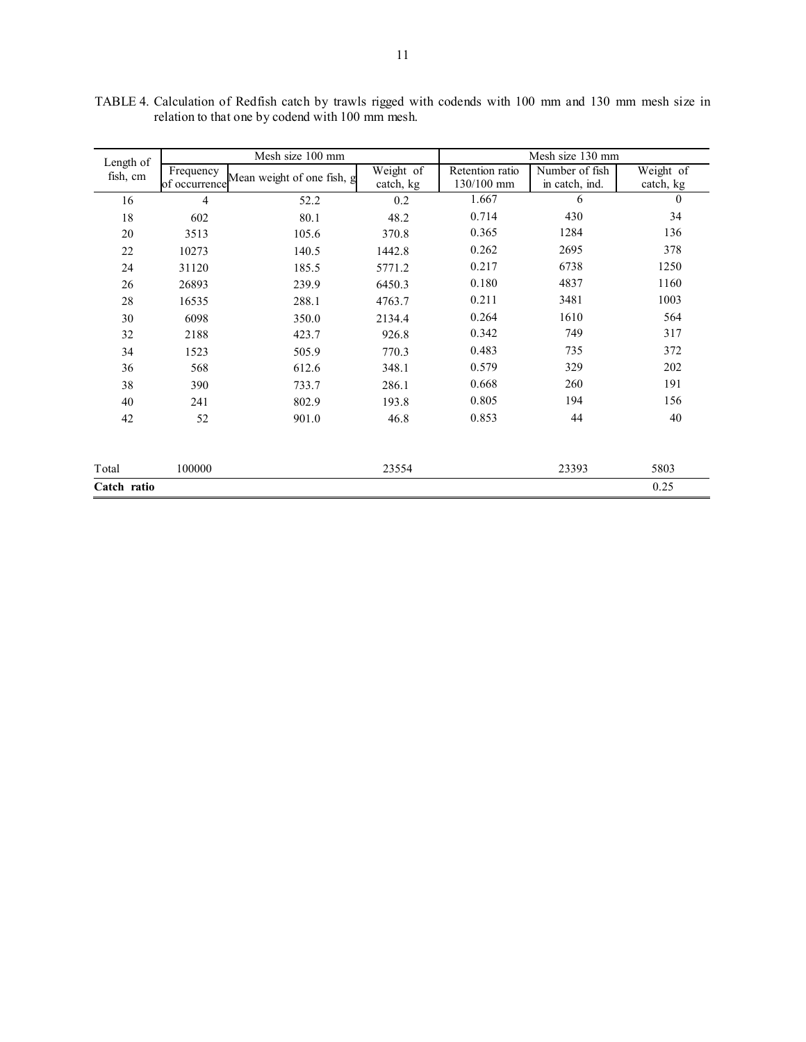| Length of   |                            | Mesh size 100 mm           |                        | Mesh size 130 mm              |                                  |                        |  |  |
|-------------|----------------------------|----------------------------|------------------------|-------------------------------|----------------------------------|------------------------|--|--|
| fish, cm    | Frequency<br>of occurrence | Mean weight of one fish, g | Weight of<br>catch, kg | Retention ratio<br>130/100 mm | Number of fish<br>in catch, ind. | Weight of<br>catch, kg |  |  |
| 16          | $\overline{4}$             | 52.2                       | 0.2                    | 1.667                         | 6                                | $\Omega$               |  |  |
| 18          | 602                        | 80.1                       | 48.2                   | 0.714                         | 430                              | 34                     |  |  |
| 20          | 3513                       | 105.6                      | 370.8                  | 0.365                         | 1284                             | 136                    |  |  |
| $22\,$      | 10273                      | 140.5                      | 1442.8                 | 0.262                         | 2695                             | 378                    |  |  |
| 24          | 31120                      | 185.5                      | 5771.2                 | 0.217                         | 6738                             | 1250                   |  |  |
| 26          | 26893                      | 239.9                      | 6450.3                 | 0.180                         | 4837                             | 1160                   |  |  |
| 28          | 16535                      | 288.1                      | 4763.7                 | 0.211                         | 3481                             | 1003                   |  |  |
| 30          | 6098                       | 350.0                      | 2134.4                 | 0.264                         | 1610                             | 564                    |  |  |
| 32          | 2188                       | 423.7                      | 926.8                  | 0.342                         | 749                              | 317                    |  |  |
| 34          | 1523                       | 505.9                      | 770.3                  | 0.483                         | 735                              | 372                    |  |  |
| 36          | 568                        | 612.6                      | 348.1                  | 0.579                         | 329                              | 202                    |  |  |
| 38          | 390                        | 733.7                      | 286.1                  | 0.668                         | 260                              | 191                    |  |  |
| 40          | 241                        | 802.9                      | 193.8                  | 0.805                         | 194                              | 156                    |  |  |
| 42          | 52                         | 901.0                      | 46.8                   | 0.853                         | 44                               | 40                     |  |  |
| Total       | 100000                     |                            | 23554                  |                               | 23393                            | 5803                   |  |  |
| Catch ratio |                            |                            |                        |                               |                                  | 0.25                   |  |  |

TABLE 4. Calculation of Redfish catch by trawls rigged with codends with 100 mm and 130 mm mesh size in relation to that one by codend with 100 mm mesh.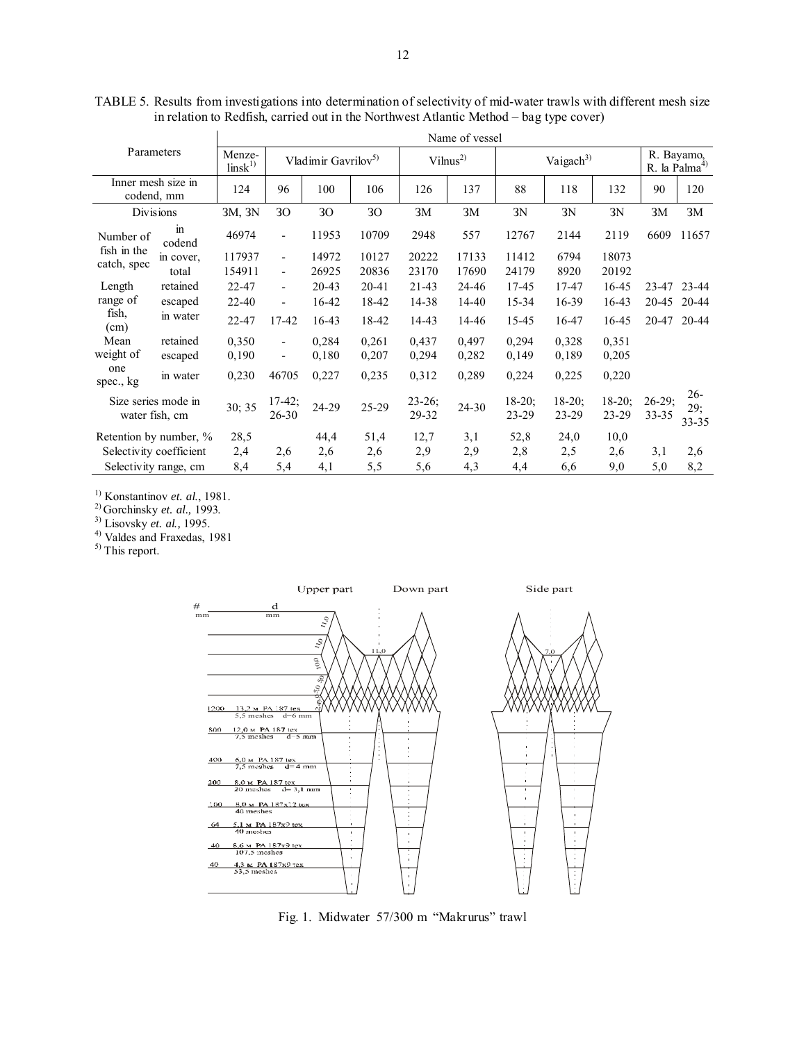| Parameters                            |              | Name of vessel               |                                 |                 |                     |                   |                       |                    |                      |                                         |                   |                     |
|---------------------------------------|--------------|------------------------------|---------------------------------|-----------------|---------------------|-------------------|-----------------------|--------------------|----------------------|-----------------------------------------|-------------------|---------------------|
|                                       |              | Menze-<br>$\text{links}^{1}$ | Vladimir Gavrilov <sup>5)</sup> |                 | Vilnus <sup>2</sup> |                   | Vaigach <sup>3)</sup> |                    |                      | R. Bayamo,<br>R. la Palma <sup>4)</sup> |                   |                     |
| Inner mesh size in<br>codend, mm      |              | 124                          | 96                              | 100             | 106                 | 126               | 137                   | 88                 | 118                  | 132                                     | 90                | 120                 |
| Divisions                             |              | 3M, 3N                       | 30                              | 30 <sup>°</sup> | 30                  | 3M                | 3M                    | 3N                 | 3N                   | 3N                                      | 3M                | 3M                  |
| Number of                             | in<br>codend | 46974                        | $\overline{\phantom{a}}$        | 11953           | 10709               | 2948              | 557                   | 12767              | 2144                 | 2119                                    | 6609              | 11657               |
| fish in the                           | in cover,    | 117937                       | $\overline{\phantom{a}}$        | 14972           | 10127               | 20222             | 17133                 | 11412              | 6794                 | 18073                                   |                   |                     |
| catch, spec                           | total        | 154911                       | $\blacksquare$                  | 26925           | 20836               | 23170             | 17690                 | 24179              | 8920                 | 20192                                   |                   |                     |
| Length                                | retained     | 22-47                        | $\blacksquare$                  | 20-43           | 20-41               | $21-43$           | 24-46                 | 17-45              | 17-47                | 16-45                                   | $23 - 47$         | 23-44               |
| range of                              | escaped      | $22 - 40$                    | $\overline{\phantom{0}}$        | 16-42           | 18-42               | 14-38             | 14-40                 | 15-34              | 16-39                | 16-43                                   | 20-45             | 20-44               |
| fish,<br>(cm)                         | in water     | 22-47                        | 17-42                           | $16-43$         | 18-42               | 14-43             | 14-46                 | 15-45              | 16-47                | 16-45                                   | 20-47             | 20-44               |
| Mean                                  | retained     | 0,350                        | $\overline{\phantom{a}}$        | 0,284           | 0,261               | 0,437             | 0,497                 | 0,294              | 0,328                | 0,351                                   |                   |                     |
| weight of                             | escaped      | 0,190                        | $\overline{\phantom{a}}$        | 0,180           | 0,207               | 0,294             | 0,282                 | 0,149              | 0.189                | 0,205                                   |                   |                     |
| one<br>spec., kg                      | in water     | 0,230                        | 46705                           | 0,227           | 0,235               | 0,312             | 0,289                 | 0,224              | 0,225                | 0,220                                   |                   |                     |
| Size series mode in<br>water fish, cm |              | 30; 35                       | $17-42$ ;<br>26-30              | 24-29           | 25-29               | $23-26;$<br>29-32 | $24 - 30$             | $18-20$ ;<br>23-29 | $18-20$ ;<br>$23-29$ | $18-20$ ;<br>23-29                      | $26-29;$<br>33-35 | 26-<br>29;<br>33-35 |
| Retention by number, %                |              | 28,5                         |                                 | 44,4            | 51,4                | 12,7              | 3,1                   | 52,8               | 24,0                 | 10,0                                    |                   |                     |
| Selectivity coefficient               |              | 2,4                          | 2,6                             | 2,6             | 2,6                 | 2,9               | 2,9                   | 2,8                | 2,5                  | 2,6                                     | 3,1               | 2,6                 |
| Selectivity range, cm                 |              | 8,4                          | 5,4                             | 4,1             | 5,5                 | 5,6               | 4,3                   | 4,4                | 6,6                  | 9,0                                     | 5,0               | 8,2                 |

TABLE 5. Results from investigations into determination of selectivity of mid-water trawls with different mesh size in relation to Redfish, carried out in the Northwest Atlantic Method – bag type cover)

1) Konstantinov *et. al*., 1981.

2) Gorchinsky *et. al.,* 1993.

3) Lisovsky *et. al.,* 1995.

4) Valdes and Fraxedas, 1981

<sup>5)</sup> This report.



Fig. 1. Midwater 57/300 m "Makrurus" trawl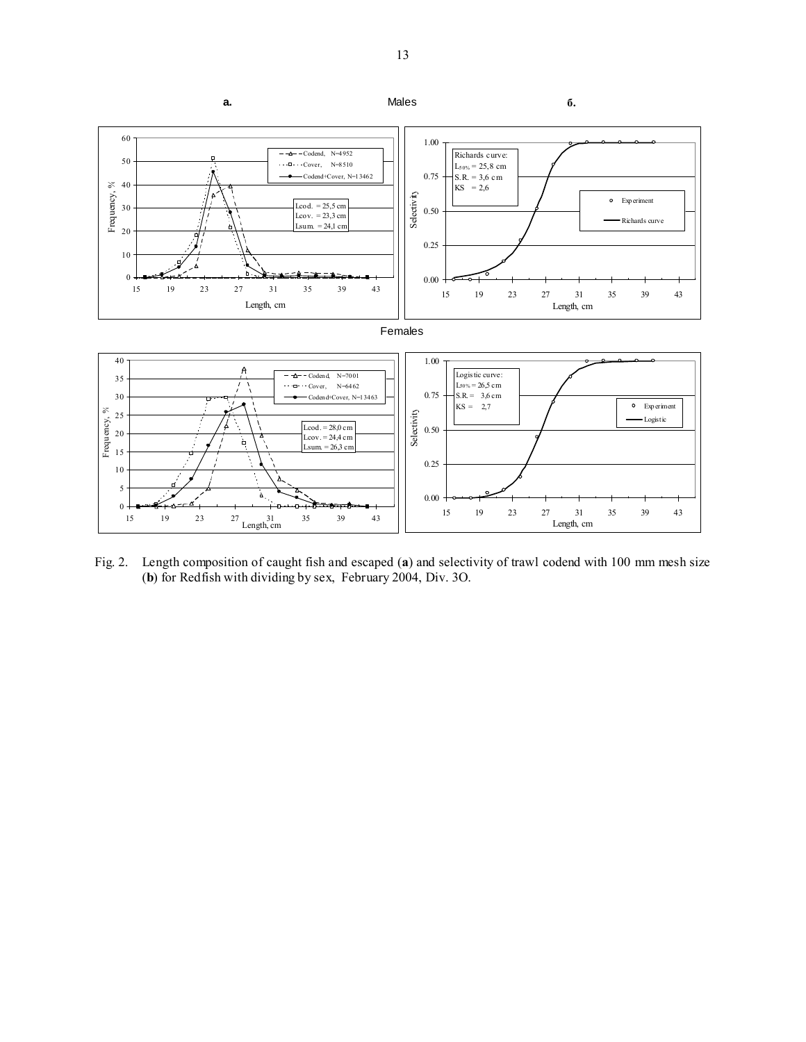

Fig. 2. Length composition of caught fish and escaped (**a**) and selectivity of trawl codend with 100 mm mesh size (**b**) for Redfish with dividing by sex, February 2004, Div. 3O.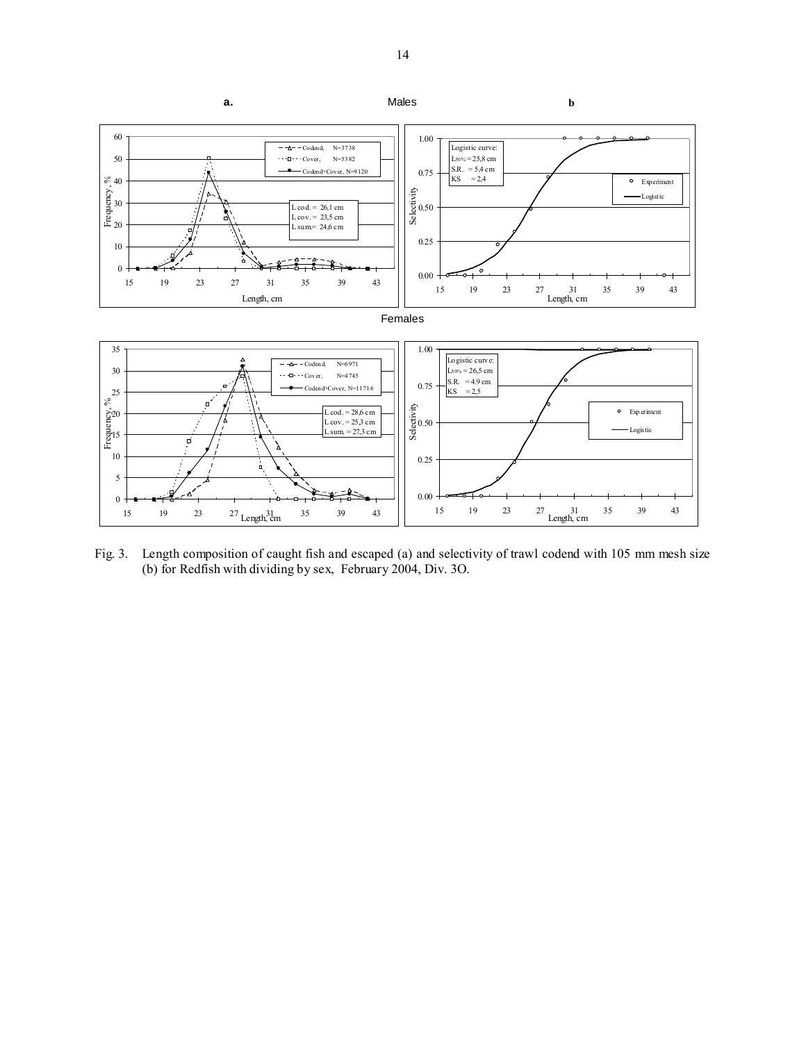

Fig. 3. Length composition of caught fish and escaped (a) and selectivity of trawl codend with 105 mm mesh size (b) for Redfish with dividing by sex, February 2004, Div. 3O.